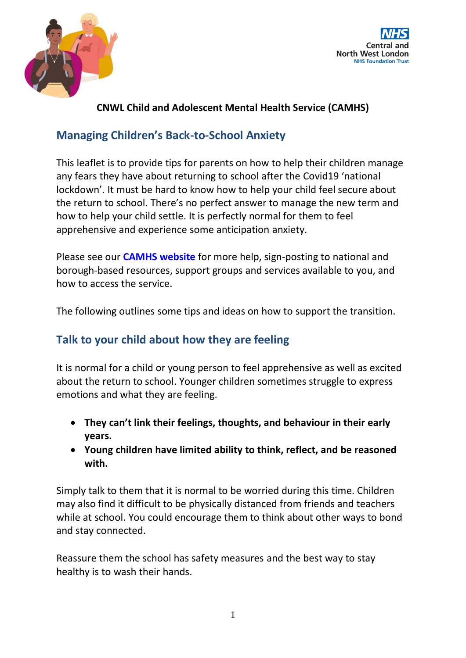



## **CNWL Child and Adolescent Mental Health Service (CAMHS)**

# **Managing Children's Back-to-School Anxiety**

This leaflet is to provide tips for parents on how to help their children manage any fears they have about returning to school after the Covid19 'national lockdown'. It must be hard to know how to help your child feel secure about the return to school. There's no perfect answer to manage the new term and how to help your child settle. It is perfectly normal for them to feel apprehensive and experience some anticipation anxiety.

Please see our **[CAMHS website](https://www.cnwl.nhs.uk/camhs)** for more help, sign-posting to national and borough-based resources, support groups and services available to you, and how to access the service.

The following outlines some tips and ideas on how to support the transition.

# **Talk to your child about how they are feeling**

It is normal for a child or young person to feel apprehensive as well as excited about the return to school. Younger children sometimes struggle to express emotions and what they are feeling.

- **They can't link their feelings, thoughts, and behaviour in their early years.**
- **Young children have limited ability to think, reflect, and be reasoned with.**

Simply talk to them that it is normal to be worried during this time. Children may also find it difficult to be physically distanced from friends and teachers while at school. You could encourage them to think about other ways to bond and stay connected.

Reassure them the school has safety measures and the best way to stay healthy is to wash their hands.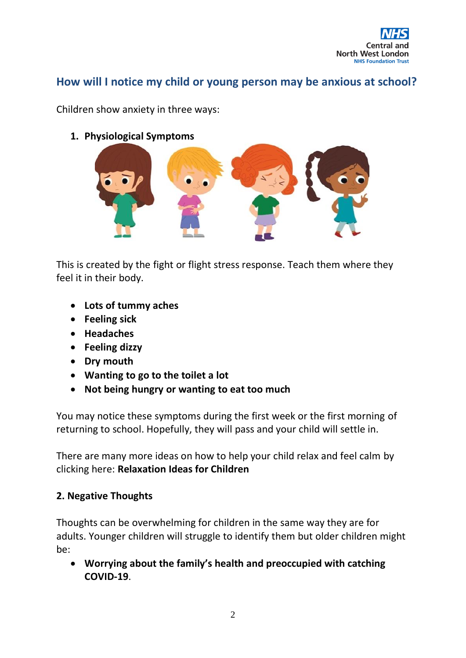

## **How will I notice my child or young person may be anxious at school?**

Children show anxiety in three ways:

**1. Physiological Symptoms**



This is created by the fight or flight stress [response.](https://bristolchildparentsupport.co.uk/recognising-anxiety-in-your-child/) Teach them where they feel it in their body.

- **Lots of tummy aches**
- **Feeling sick**
- **Headaches**
- **Feeling dizzy**
- **Dry mouth**
- **Wanting to go to the toilet a lot**
- **Not being hungry or wanting to eat too much**

You may notice these symptoms during the first week or the first morning of returning to school. Hopefully, they will pass and your child will settle in.

There are many more ideas on how to help your child relax and feel calm by clicking here: **[Relaxation](https://bristolchildparentsupport.co.uk/relaxation-ideas-for-children/) Ideas for Children**

#### **2. Negative Thoughts**

Thoughts can be overwhelming for children in the same way they are for adults. Younger children will struggle to identify them but older children might be:

• **Worrying about the family's health and preoccupied with catching COVID-19**.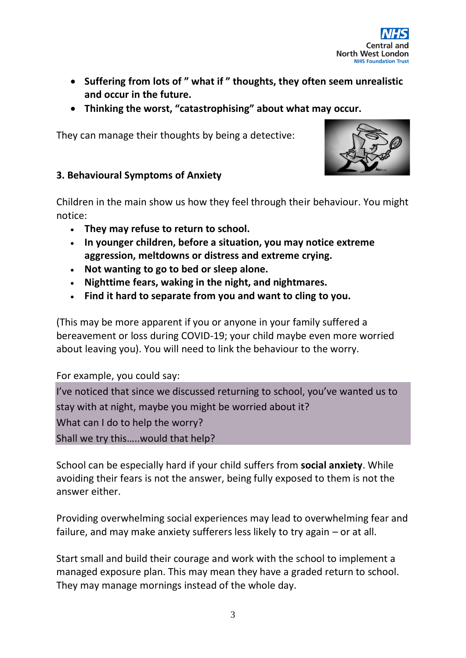

- **Suffering from lots of " what if " thoughts, they often seem unrealistic and occur in the future.**
- **Thinking the worst, "catastrophising" about what may occur.**

They can manage their thoughts by being a detective:



#### **3. Behavioural Symptoms of Anxiety**

Children in the main show us how they feel through their behaviour. You might notice:

- **They may refuse to return to school.**
- **In younger children, before a situation, you may notice extreme aggression, meltdowns or distress and extreme crying.**
- **Not wanting to go to bed or sleep alone.**
- **Nighttime fears, waking in the night, and nightmares.**
- **Find it hard to separate from you and want to cling to you.**

(This may be more apparent if you or anyone in your family suffered a bereavement or loss during COVID-19; your child maybe even more worried about leaving you). You will need to link the behaviour to the worry.

For example, you could say:

I've noticed that since we discussed returning to school, you've wanted us to stay with at night, maybe you might be worried about it? What can I do to help the worry? Shall we try this…..would that help?

School can be especially hard if your child suffers from **social [anxiety](https://www.rcpsych.ac.uk/mental-health/parents-and-young-people/information-for-parents-and-carers/worries-and-anxieties---helping-children-to-cope-for-parents-and-carers)**. While avoiding their fears is not the answer, being fully exposed to them is not the answer either.

Providing overwhelming social experiences may lead to overwhelming fear and failure, and may make anxiety sufferers less likely to try again – or at all.

Start small and build their courage and work with the school to implement a managed exposure plan. This may mean they have a graded return to school. They may manage mornings instead of the whole day.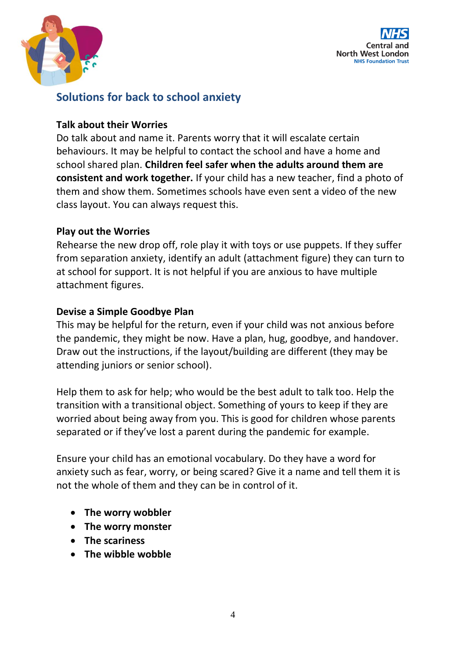



## **Solutions for back to school anxiety**

#### **Talk about their Worries**

Do talk about and name it. Parents worry that it will escalate certain behaviours. It may be helpful to contact the school and have a home and school shared plan. **Children feel safer when the adults around them are consistent and work together.** If your child has a new teacher, find a photo of them and show them. Sometimes schools have even sent a video of the new class layout. You can always request this.

#### **Play out the Worries**

Rehearse the new drop off, role play it with toys or use puppets. If they suffer from separation anxiety, identify an adult (attachment figure) they can turn to at school for support. It is not helpful if you are anxious to have multiple attachment figures.

#### **Devise a Simple Goodbye Plan**

This may be helpful for the return, even if your child was not anxious before the pandemic, they might be now. Have a plan, hug, goodbye, and handover. Draw out the instructions, if the layout/building are different (they may be attending juniors or senior school).

Help them to ask for help; who would be the best adult to talk too. Help the transition with a transitional object. Something of yours to keep if they are worried about being away from you. This is good for children whose parents separated or if they've lost a parent during the pandemic for example.

Ensure your child has an emotional vocabulary. Do they have a word for anxiety such as fear, worry, or being scared? Give it a name and tell them it is not the whole of them and they can be in control of it.

- **The worry wobbler**
- **The worry monster**
- **The scariness**
- **The wibble wobble**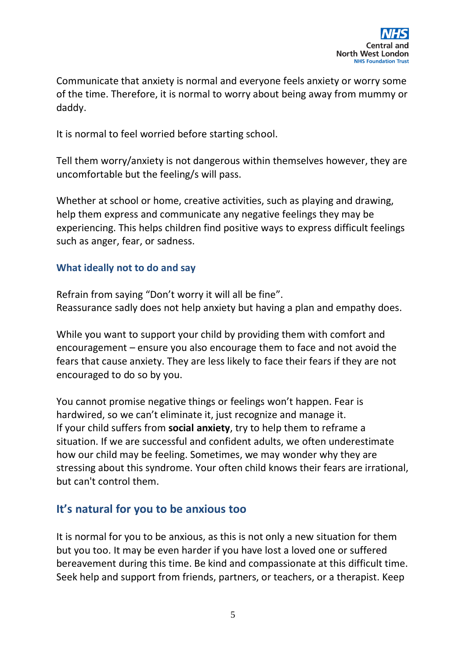

Communicate that anxiety is normal and everyone feels anxiety or worry some of the time. Therefore, it is normal to worry about being away from mummy or daddy.

It is normal to feel worried before starting school.

Tell them worry/anxiety is not dangerous within themselves however, they are uncomfortable but the feeling/s will pass.

Whether at school or home, creative activities, such as playing and drawing, help them express and communicate any negative feelings they may be experiencing. This helps children find positive ways to express difficult feelings such as anger, fear, or sadness.

#### **What ideally not to do and say**

Refrain from saying "Don't worry it will all be fine". Reassurance sadly does not help anxiety but having a plan and empathy does.

While you want to support your child by providing them with comfort and encouragement – ensure you also encourage them to face and not avoid the fears that cause anxiety. They are less likely to face their fears if they are not encouraged to do so by you.

You cannot promise negative things or feelings won't happen. Fear is hardwired, so we can't eliminate it, just recognize and manage it. If your child suffers from **social [anxiety](https://www.rcpsych.ac.uk/mental-health/parents-and-young-people/information-for-parents-and-carers/worries-and-anxieties---helping-children-to-cope-for-parents-and-carers)**, try to help them to reframe a situation. If we are successful and confident adults, we often underestimate how our child may be feeling. Sometimes, we may wonder why they are stressing about this syndrome. Your often child knows their fears are irrational, but can't control them.

### **It's natural for you to be anxious too**

It is normal for you to be anxious, as this is not only a new situation for them but you too. It may be even harder if you have lost a loved one or suffered bereavement during this time. Be kind and compassionate at this difficult time. Seek help and support from friends, partners, or teachers, or a therapist. Keep